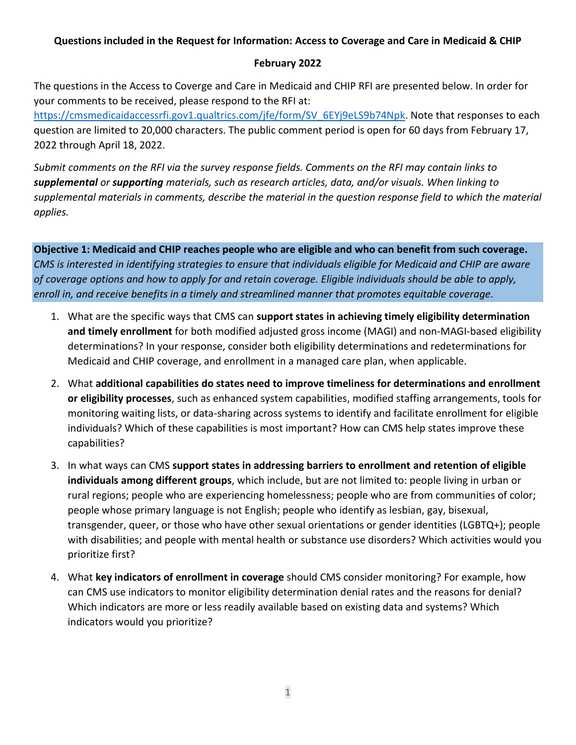## **Questions included in the Request for Information: Access to Coverage and Care in Medicaid & CHIP**

## **February 2022**

The questions in the Access to Coverge and Care in Medicaid and CHIP RFI are presented below. In order for your comments to be received, please respond to the RFI at:

[https://cmsmedicaidaccessrfi.gov1.qualtrics.com/jfe/form/SV\\_6EYj9eLS9b74Npk.](https://cmsmedicaidaccessrfi.gov1.qualtrics.com/jfe/form/SV_6EYj9eLS9b74Npk) Note that responses to each question are limited to 20,000 characters. The public comment period is open for 60 days from February 17, 2022 through April 18, 2022.

*Submit comments on the RFI via the survey response fields. Comments on the RFI may contain links to supplemental or supporting materials, such as research articles, data, and/or visuals. When linking to supplemental materials in comments, describe the material in the question response field to which the material applies.*

**Objective 1: Medicaid and CHIP reaches people who are eligible and who can benefit from such coverage.**  *CMS is interested in identifying strategies to ensure that individuals eligible for Medicaid and CHIP are aware of coverage options and how to apply for and retain coverage. Eligible individuals should be able to apply, enroll in, and receive benefits in a timely and streamlined manner that promotes equitable coverage.*

- 1. What are the specific ways that CMS can **support states in achieving timely eligibility determination and timely enrollment** for both modified adjusted gross income (MAGI) and non-MAGI-based eligibility determinations? In your response, consider both eligibility determinations and redeterminations for Medicaid and CHIP coverage, and enrollment in a managed care plan, when applicable.
- 2. What **additional capabilities do states need to improve timeliness for determinations and enrollment or eligibility processes**, such as enhanced system capabilities, modified staffing arrangements, tools for monitoring waiting lists, or data-sharing across systems to identify and facilitate enrollment for eligible individuals? Which of these capabilities is most important? How can CMS help states improve these capabilities?
- 3. In what ways can CMS **support states in addressing barriers to enrollment and retention of eligible individuals among different groups**, which include, but are not limited to: people living in urban or rural regions; people who are experiencing homelessness; people who are from communities of color; people whose primary language is not English; people who identify as lesbian, gay, bisexual, transgender, queer, or those who have other sexual orientations or gender identities (LGBTQ+); people with disabilities; and people with mental health or substance use disorders? Which activities would you prioritize first?
- 4. What **key indicators of enrollment in coverage** should CMS consider monitoring? For example, how can CMS use indicators to monitor eligibility determination denial rates and the reasons for denial? Which indicators are more or less readily available based on existing data and systems? Which indicators would you prioritize?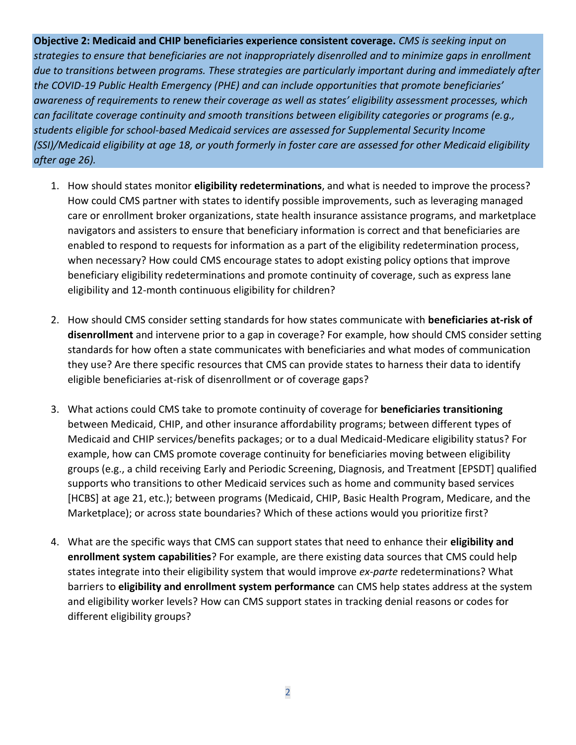**Objective 2: Medicaid and CHIP beneficiaries experience consistent coverage.** *CMS is seeking input on strategies to ensure that beneficiaries are not inappropriately disenrolled and to minimize gaps in enrollment due to transitions between programs. These strategies are particularly important during and immediately after the COVID-19 Public Health Emergency (PHE) and can include opportunities that promote beneficiaries' awareness of requirements to renew their coverage as well as states' eligibility assessment processes, which can facilitate coverage continuity and smooth transitions between eligibility categories or programs (e.g., students eligible for school-based Medicaid services are assessed for Supplemental Security Income (SSI)/Medicaid eligibility at age 18, or youth formerly in foster care are assessed for other Medicaid eligibility after age 26).*

- 1. How should states monitor **eligibility redeterminations**, and what is needed to improve the process? How could CMS partner with states to identify possible improvements, such as leveraging managed care or enrollment broker organizations, state health insurance assistance programs, and marketplace navigators and assisters to ensure that beneficiary information is correct and that beneficiaries are enabled to respond to requests for information as a part of the eligibility redetermination process, when necessary? How could CMS encourage states to adopt existing policy options that improve beneficiary eligibility redeterminations and promote continuity of coverage, such as express lane eligibility and 12-month continuous eligibility for children?
- 2. How should CMS consider setting standards for how states communicate with **beneficiaries at-risk of disenrollment** and intervene prior to a gap in coverage? For example, how should CMS consider setting standards for how often a state communicates with beneficiaries and what modes of communication they use? Are there specific resources that CMS can provide states to harness their data to identify eligible beneficiaries at-risk of disenrollment or of coverage gaps?
- 3. What actions could CMS take to promote continuity of coverage for **beneficiaries transitioning** between Medicaid, CHIP, and other insurance affordability programs; between different types of Medicaid and CHIP services/benefits packages; or to a dual Medicaid-Medicare eligibility status? For example, how can CMS promote coverage continuity for beneficiaries moving between eligibility groups (e.g., a child receiving Early and Periodic Screening, Diagnosis, and Treatment [EPSDT] qualified supports who transitions to other Medicaid services such as home and community based services [HCBS] at age 21, etc.); between programs (Medicaid, CHIP, Basic Health Program, Medicare, and the Marketplace); or across state boundaries? Which of these actions would you prioritize first?
- 4. What are the specific ways that CMS can support states that need to enhance their **eligibility and enrollment system capabilities**? For example, are there existing data sources that CMS could help states integrate into their eligibility system that would improve *ex-parte* redeterminations? What barriers to **eligibility and enrollment system performance** can CMS help states address at the system and eligibility worker levels? How can CMS support states in tracking denial reasons or codes for different eligibility groups?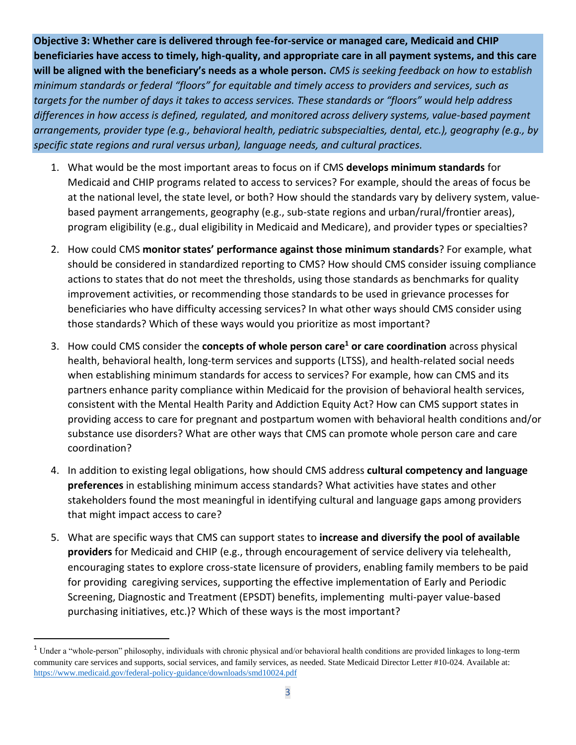**Objective 3: Whether care is delivered through fee-for-service or managed care, Medicaid and CHIP beneficiaries have access to timely, high-quality, and appropriate care in all payment systems, and this care will be aligned with the beneficiary's needs as a whole person.** *CMS is seeking feedback on how to* e*stablish minimum standards or federal "floors" for equitable and timely access to providers and services, such as targets for the number of days it takes to access services. These standards or "floors" would help address differences in how access is defined, regulated, and monitored across delivery systems, value-based payment arrangements, provider type (e.g., behavioral health, pediatric subspecialties, dental, etc.), geography (e.g., by specific state regions and rural versus urban), language needs, and cultural practices.*

- 1. What would be the most important areas to focus on if CMS **develops minimum standards** for Medicaid and CHIP programs related to access to services? For example, should the areas of focus be at the national level, the state level, or both? How should the standards vary by delivery system, valuebased payment arrangements, geography (e.g., sub-state regions and urban/rural/frontier areas), program eligibility (e.g., dual eligibility in Medicaid and Medicare), and provider types or specialties?
- 2. How could CMS **monitor states' performance against those minimum standards**? For example, what should be considered in standardized reporting to CMS? How should CMS consider issuing compliance actions to states that do not meet the thresholds, using those standards as benchmarks for quality improvement activities, or recommending those standards to be used in grievance processes for beneficiaries who have difficulty accessing services? In what other ways should CMS consider using those standards? Which of these ways would you prioritize as most important?
- 3. How could CMS consider the **concepts of whole person care<sup>1</sup> or care coordination** across physical health, behavioral health, long-term services and supports (LTSS), and health-related social needs when establishing minimum standards for access to services? For example, how can CMS and its partners enhance parity compliance within Medicaid for the provision of behavioral health services, consistent with the Mental Health Parity and Addiction Equity Act? How can CMS support states in providing access to care for pregnant and postpartum women with behavioral health conditions and/or substance use disorders? What are other ways that CMS can promote whole person care and care coordination?
- 4. In addition to existing legal obligations, how should CMS address **cultural competency and language preferences** in establishing minimum access standards? What activities have states and other stakeholders found the most meaningful in identifying cultural and language gaps among providers that might impact access to care?
- 5. What are specific ways that CMS can support states to **increase and diversify the pool of available providers** for Medicaid and CHIP (e.g., through encouragement of service delivery via telehealth, encouraging states to explore cross-state licensure of providers, enabling family members to be paid for providing caregiving services, supporting the effective implementation of Early and Periodic Screening, Diagnostic and Treatment (EPSDT) benefits, implementing multi-payer value-based purchasing initiatives, etc.)? Which of these ways is the most important?

<sup>1</sup> Under a "whole-person" philosophy, individuals with chronic physical and/or behavioral health conditions are provided linkages to long-term community care services and supports, social services, and family services, as needed. State Medicaid Director Letter #10-024. Available at: <https://www.medicaid.gov/federal-policy-guidance/downloads/smd10024.pdf>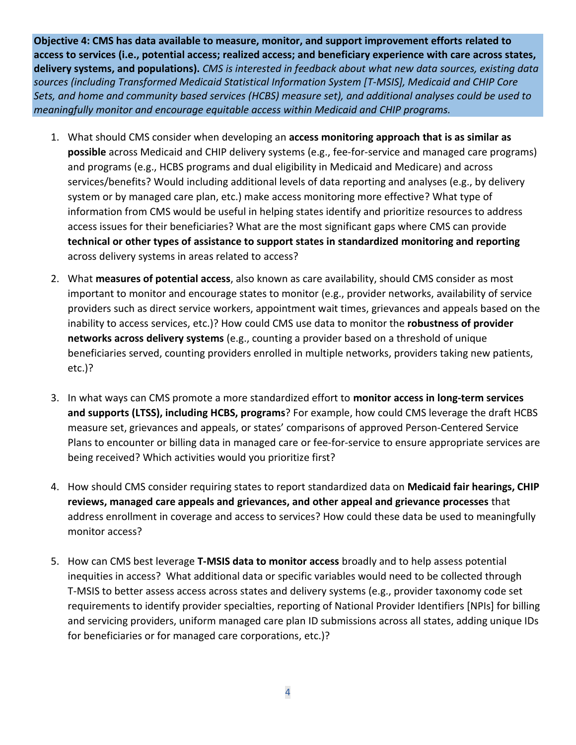**Objective 4: CMS has data available to measure, monitor, and support improvement efforts related to access to services (i.e., potential access; realized access; and beneficiary experience with care across states, delivery systems, and populations).** *CMS is interested in feedback about what new data sources, existing data sources (including Transformed Medicaid Statistical Information System [T-MSIS], Medicaid and CHIP Core Sets, and home and community based services (HCBS) measure set), and additional analyses could be used to meaningfully monitor and encourage equitable access within Medicaid and CHIP programs.*

- 1. What should CMS consider when developing an **access monitoring approach that is as similar as possible** across Medicaid and CHIP delivery systems (e.g., fee-for-service and managed care programs) and programs (e.g., HCBS programs and dual eligibility in Medicaid and Medicare) and across services/benefits? Would including additional levels of data reporting and analyses (e.g., by delivery system or by managed care plan, etc.) make access monitoring more effective? What type of information from CMS would be useful in helping states identify and prioritize resources to address access issues for their beneficiaries? What are the most significant gaps where CMS can provide **technical or other types of assistance to support states in standardized monitoring and reporting**  across delivery systems in areas related to access?
- 2. What **measures of potential access**, also known as care availability, should CMS consider as most important to monitor and encourage states to monitor (e.g., provider networks, availability of service providers such as direct service workers, appointment wait times, grievances and appeals based on the inability to access services, etc.)? How could CMS use data to monitor the **robustness of provider networks across delivery systems** (e.g., counting a provider based on a threshold of unique beneficiaries served, counting providers enrolled in multiple networks, providers taking new patients, etc.)?
- 3. In what ways can CMS promote a more standardized effort to **monitor access in long-term services and supports (LTSS), including HCBS, programs**? For example, how could CMS leverage the draft HCBS measure set, grievances and appeals, or states' comparisons of approved Person-Centered Service Plans to encounter or billing data in managed care or fee-for-service to ensure appropriate services are being received? Which activities would you prioritize first?
- 4. How should CMS consider requiring states to report standardized data on **Medicaid fair hearings, CHIP reviews, managed care appeals and grievances, and other appeal and grievance processes** that address enrollment in coverage and access to services? How could these data be used to meaningfully monitor access?
- 5. How can CMS best leverage **T-MSIS data to monitor access** broadly and to help assess potential inequities in access? What additional data or specific variables would need to be collected through T-MSIS to better assess access across states and delivery systems (e.g., provider taxonomy code set requirements to identify provider specialties, reporting of National Provider Identifiers [NPIs] for billing and servicing providers, uniform managed care plan ID submissions across all states, adding unique IDs for beneficiaries or for managed care corporations, etc.)?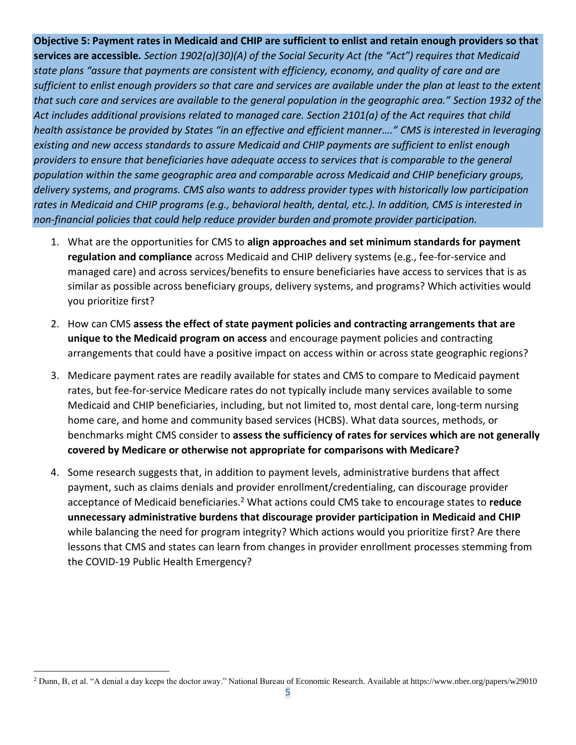**Objective 5: Payment rates in Medicaid and CHIP are sufficient to enlist and retain enough providers so that services are accessible***. Section 1902(a)(30)(A) of the Social Security Act (the "Act") requires that Medicaid state plans "assure that payments are consistent with efficiency, economy, and quality of care and are sufficient to enlist enough providers so that care and services are available under the plan at least to the extent that such care and services are available to the general population in the geographic area." Section 1932 of the Act includes additional provisions related to managed care. Section 2101(a) of the Act requires that child health assistance be provided by States "in an effective and efficient manner…." CMS is interested in leveraging existing and new access standards to assure Medicaid and CHIP payments are sufficient to enlist enough providers to ensure that beneficiaries have adequate access to services that is comparable to the general population within the same geographic area and comparable across Medicaid and CHIP beneficiary groups, delivery systems, and programs. CMS also wants to address provider types with historically low participation rates in Medicaid and CHIP programs (e.g., behavioral health, dental, etc.). In addition, CMS is interested in non-financial policies that could help reduce provider burden and promote provider participation.*

- 1. What are the opportunities for CMS to **align approaches and set minimum standards for payment regulation and compliance** across Medicaid and CHIP delivery systems (e.g., fee-for-service and managed care) and across services/benefits to ensure beneficiaries have access to services that is as similar as possible across beneficiary groups, delivery systems, and programs? Which activities would you prioritize first?
- 2. How can CMS **assess the effect of state payment policies and contracting arrangements that are unique to the Medicaid program on access** and encourage payment policies and contracting arrangements that could have a positive impact on access within or across state geographic regions?
- 3. Medicare payment rates are readily available for states and CMS to compare to Medicaid payment rates, but fee-for-service Medicare rates do not typically include many services available to some Medicaid and CHIP beneficiaries, including, but not limited to, most dental care, long-term nursing home care, and home and community based services (HCBS). What data sources, methods, or benchmarks might CMS consider to **assess the sufficiency of rates for services which are not generally covered by Medicare or otherwise not appropriate for comparisons with Medicare?**
- 4. Some research suggests that, in addition to payment levels, administrative burdens that affect payment, such as claims denials and provider enrollment/credentialing, can discourage provider acceptance of Medicaid beneficiaries.<sup>2</sup> What actions could CMS take to encourage states to **reduce unnecessary administrative burdens that discourage provider participation in Medicaid and CHIP**  while balancing the need for program integrity? Which actions would you prioritize first? Are there lessons that CMS and states can learn from changes in provider enrollment processes stemming from the COVID-19 Public Health Emergency?

<sup>2</sup> Dunn, B, et al. "A denial a day keeps the doctor away." National Bureau of Economic Research. Available at https://www.nber.org/papers/w29010